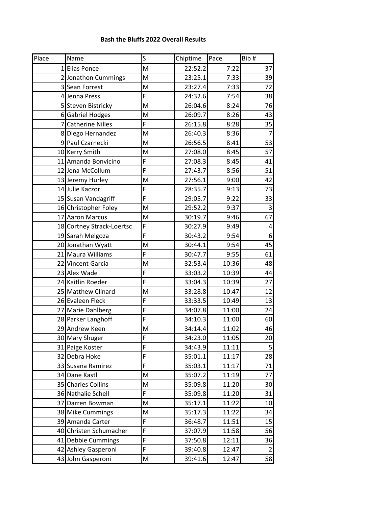## **Bash the Bluffs 2022 Overall Results**

| Place | Name                      | S              | Chiptime | Pace  | Bib#           |
|-------|---------------------------|----------------|----------|-------|----------------|
|       | 1 Elias Ponce             | M              | 22:52.2  | 7:22  | 37             |
|       | 2 Jonathon Cummings       | M              | 23:25.1  | 7:33  | 39             |
|       | 3 Sean Forrest            | M              | 23:27.4  | 7:33  | 72             |
|       | 4 Jenna Press             | F              | 24:32.6  | 7:54  | 38             |
|       | 5 Steven Bistricky        | M              | 26:04.6  | 8:24  | 76             |
|       | 6 Gabriel Hodges          | M              | 26:09.7  | 8:26  | 43             |
|       | 7 Catherine Nilles        | F              | 26:15.8  | 8:28  | 35             |
|       | 8 Diego Hernandez         | M              | 26:40.3  | 8:36  | $\overline{7}$ |
|       | 9 Paul Czarnecki          | M              | 26:56.5  | 8:41  | 53             |
|       | 10 Kerry Smith            | M              | 27:08.0  | 8:45  | 57             |
|       | 11 Amanda Bonvicino       | F              | 27:08.3  | 8:45  | 41             |
|       | 12 Jena McCollum          | F              | 27:43.7  | 8:56  | 51             |
|       | 13 Jeremy Hurley          | M              | 27:56.1  | 9:00  | 42             |
|       | 14 Julie Kaczor           | F              | 28:35.7  | 9:13  | 73             |
|       | 15 Susan Vandagriff       | F              | 29:05.7  | 9:22  | 33             |
|       | 16 Christopher Foley      | M              | 29:52.2  | 9:37  | 3              |
|       | 17 Aaron Marcus           | M              | 30:19.7  | 9:46  | 67             |
|       | 18 Cortney Strack-Loertsc | F              | 30:27.9  | 9:49  | 4              |
|       | 19 Sarah Melgoza          | F              | 30:43.2  | 9:54  | 6              |
|       | 20 Jonathan Wyatt         | M              | 30:44.1  | 9:54  | 45             |
|       | 21 Maura Williams         | F              | 30:47.7  | 9:55  | 61             |
|       | 22 Vincent Garcia         | M              | 32:53.4  | 10:36 | 48             |
|       | 23 Alex Wade              | F              | 33:03.2  | 10:39 | 44             |
|       | 24 Kaitlin Roeder         | F              | 33:04.3  | 10:39 | 27             |
|       | 25 Matthew Clinard        | M              | 33:28.8  | 10:47 | 12             |
|       | 26 Evaleen Fleck          | F              | 33:33.5  | 10:49 | 13             |
|       | 27 Marie Dahlberg         | F              | 34:07.8  | 11:00 | 24             |
|       | 28 Parker Langhoff        | F              | 34:10.3  | 11:00 | 60             |
|       | 29 Andrew Keen            | M              | 34:14.4  | 11:02 | 46             |
|       | 30 Mary Shuger            | $\overline{F}$ | 34:23.0  | 11:05 | 20             |
|       | 31 Paige Koster           | F              | 34:43.9  | 11:11 | 5              |
|       | 32 Debra Hoke             | F              | 35:01.1  | 11:17 | 28             |
|       | 33 Susana Ramirez         | F              | 35:03.1  | 11:17 | 71             |
|       | 34 Dane Kastl             | M              | 35:07.2  | 11:19 | 77             |
|       | 35 Charles Collins        | M              | 35:09.8  | 11:20 | 30             |
|       | 36 Nathalie Schell        | F              | 35:09.8  | 11:20 | 31             |
|       | 37 Darren Bowman          | M              | 35:17.1  | 11:22 | 10             |
|       | 38 Mike Cummings          | M              | 35:17.3  | 11:22 | 34             |
|       | 39 Amanda Carter          | F              | 36:48.7  | 11:51 | 15             |
|       | 40 Christen Schumacher    | F              | 37:07.9  | 11:58 | 56             |
|       | 41 Debbie Cummings        | F              | 37:50.8  | 12:11 | 36             |
|       | 42 Ashley Gasperoni       | F              | 39:40.8  | 12:47 | 2              |
|       | 43 John Gasperoni         | M              | 39:41.6  | 12:47 | 58             |